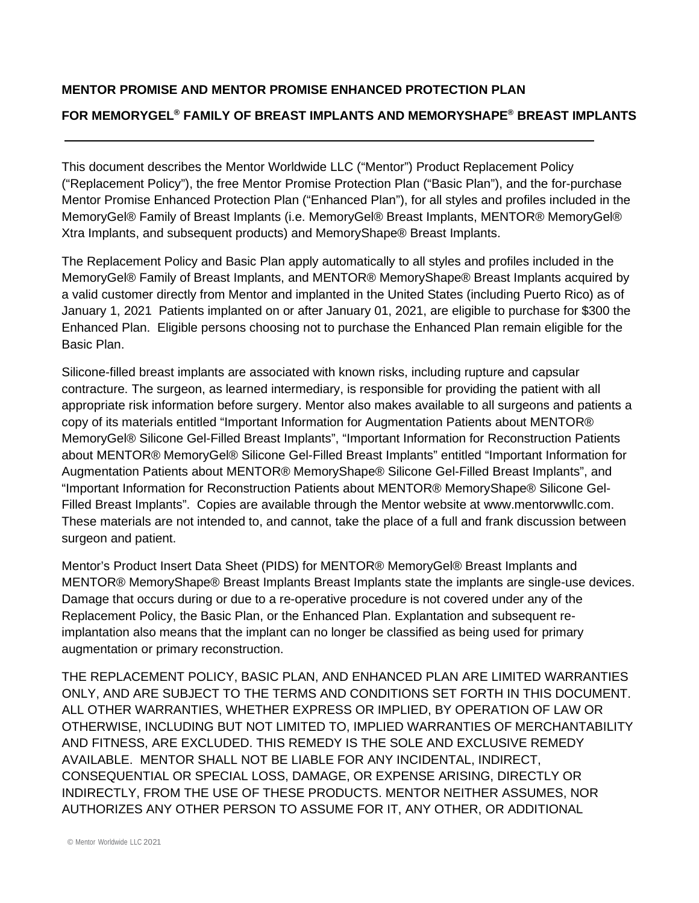# **MENTOR PROMISE AND MENTOR PROMISE ENHANCED PROTECTION PLAN FOR MEMORYGEL***<sup>P</sup>* **®***<sup>P</sup>* **FAMILY OF BREAST IMPLANTS AND MEMORYSHAPE***<sup>P</sup>* **®***<sup>P</sup>* **BREAST IMPLANTS**

This document describes the Mentor Worldwide LLC ("Mentor") Product Replacement Policy ("Replacement Policy"), the free Mentor Promise Protection Plan ("Basic Plan"), and the for-purchase Mentor Promise Enhanced Protection Plan ("Enhanced Plan"), for all styles and profiles included in the MemoryGel® Family of Breast Implants (i.e. MemoryGel® Breast Implants, MENTOR® MemoryGel® Xtra Implants, and subsequent products) and MemoryShape® Breast Implants.

The Replacement Policy and Basic Plan apply automatically to all styles and profiles included in the MemoryGel® Family of Breast Implants, and MENTOR® MemoryShape® Breast Implants acquired by a valid customer directly from Mentor and implanted in the United States (including Puerto Rico) as of January 1, 2021 Patients implanted on or after January 01, 2021, are eligible to purchase for \$300 the Enhanced Plan. Eligible persons choosing not to purchase the Enhanced Plan remain eligible for the Basic Plan.

Silicone-filled breast implants are associated with known risks, including rupture and capsular contracture. The surgeon, as learned intermediary, is responsible for providing the patient with all appropriate risk information before surgery. Mentor also makes available to all surgeons and patients a copy of its materials entitled "Important Information for Augmentation Patients about MENTOR® MemoryGel® Silicone Gel-Filled Breast Implants", "Important Information for Reconstruction Patients about MENTOR® MemoryGel® Silicone Gel-Filled Breast Implants" entitled "Important Information for Augmentation Patients about MENTOR® MemoryShape® Silicone Gel-Filled Breast Implants", and "Important Information for Reconstruction Patients about MENTOR® MemoryShape® Silicone Gel-Filled Breast Implants". Copies are available through the Mentor website at www.mentorwwllc.com. These materials are not intended to, and cannot, take the place of a full and frank discussion between surgeon and patient.

Mentor's Product Insert Data Sheet (PIDS) for MENTOR® MemoryGel® Breast Implants and MENTOR® MemoryShape® Breast Implants Breast Implants state the implants are single-use devices. Damage that occurs during or due to a re-operative procedure is not covered under any of the Replacement Policy, the Basic Plan, or the Enhanced Plan. Explantation and subsequent reimplantation also means that the implant can no longer be classified as being used for primary augmentation or primary reconstruction.

THE REPLACEMENT POLICY, BASIC PLAN, AND ENHANCED PLAN ARE LIMITED WARRANTIES ONLY, AND ARE SUBJECT TO THE TERMS AND CONDITIONS SET FORTH IN THIS DOCUMENT. ALL OTHER WARRANTIES, WHETHER EXPRESS OR IMPLIED, BY OPERATION OF LAW OR OTHERWISE, INCLUDING BUT NOT LIMITED TO, IMPLIED WARRANTIES OF MERCHANTABILITY AND FITNESS, ARE EXCLUDED. THIS REMEDY IS THE SOLE AND EXCLUSIVE REMEDY AVAILABLE. MENTOR SHALL NOT BE LIABLE FOR ANY INCIDENTAL, INDIRECT, CONSEQUENTIAL OR SPECIAL LOSS, DAMAGE, OR EXPENSE ARISING, DIRECTLY OR INDIRECTLY, FROM THE USE OF THESE PRODUCTS. MENTOR NEITHER ASSUMES, NOR AUTHORIZES ANY OTHER PERSON TO ASSUME FOR IT, ANY OTHER, OR ADDITIONAL

j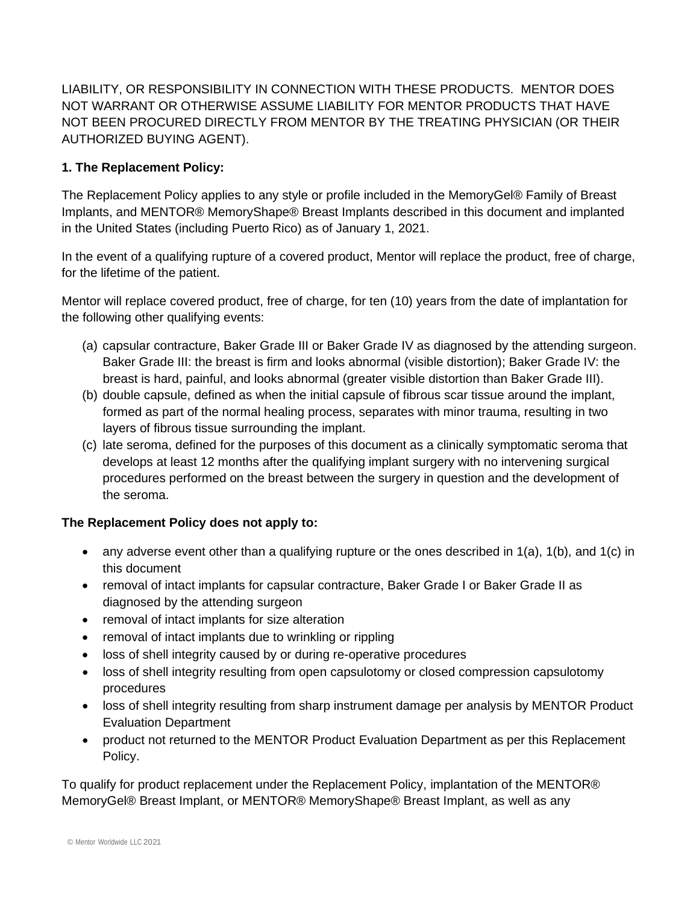LIABILITY, OR RESPONSIBILITY IN CONNECTION WITH THESE PRODUCTS. MENTOR DOES NOT WARRANT OR OTHERWISE ASSUME LIABILITY FOR MENTOR PRODUCTS THAT HAVE NOT BEEN PROCURED DIRECTLY FROM MENTOR BY THE TREATING PHYSICIAN (OR THEIR AUTHORIZED BUYING AGENT).

# **1. The Replacement Policy:**

The Replacement Policy applies to any style or profile included in the MemoryGel® Family of Breast Implants, and MENTOR® MemoryShape® Breast Implants described in this document and implanted in the United States (including Puerto Rico) as of January 1, 2021.

In the event of a qualifying rupture of a covered product, Mentor will replace the product, free of charge, for the lifetime of the patient.

Mentor will replace covered product, free of charge, for ten (10) years from the date of implantation for the following other qualifying events:

- (a) capsular contracture, Baker Grade III or Baker Grade IV as diagnosed by the attending surgeon. Baker Grade III: the breast is firm and looks abnormal (visible distortion); Baker Grade IV: the breast is hard, painful, and looks abnormal (greater visible distortion than Baker Grade III).
- (b) double capsule, defined as when the initial capsule of fibrous scar tissue around the implant, formed as part of the normal healing process, separates with minor trauma, resulting in two layers of fibrous tissue surrounding the implant.
- (c) late seroma, defined for the purposes of this document as a clinically symptomatic seroma that develops at least 12 months after the qualifying implant surgery with no intervening surgical procedures performed on the breast between the surgery in question and the development of the seroma.

## **The Replacement Policy does not apply to:**

- any adverse event other than a qualifying rupture or the ones described in 1(a), 1(b), and 1(c) in this document
- removal of intact implants for capsular contracture, Baker Grade I or Baker Grade II as diagnosed by the attending surgeon
- removal of intact implants for size alteration
- removal of intact implants due to wrinkling or rippling
- loss of shell integrity caused by or during re-operative procedures
- loss of shell integrity resulting from open capsulotomy or closed compression capsulotomy procedures
- loss of shell integrity resulting from sharp instrument damage per analysis by MENTOR Product Evaluation Department
- product not returned to the MENTOR Product Evaluation Department as per this Replacement Policy.

To qualify for product replacement under the Replacement Policy, implantation of the MENTOR® MemoryGel® Breast Implant, or MENTOR® MemoryShape® Breast Implant, as well as any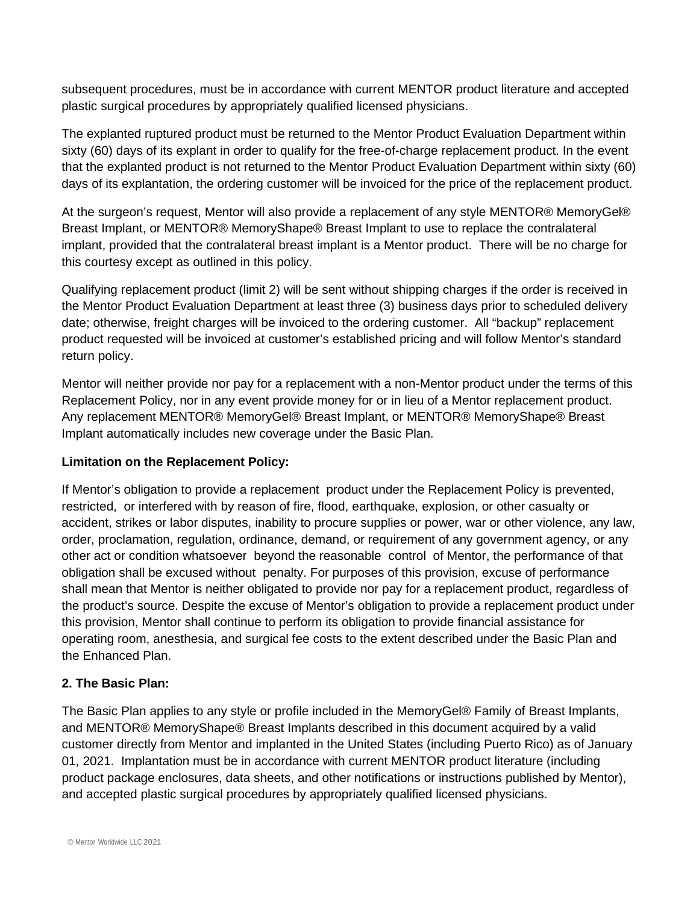subsequent procedures, must be in accordance with current MENTOR product literature and accepted plastic surgical procedures by appropriately qualified licensed physicians.

The explanted ruptured product must be returned to the Mentor Product Evaluation Department within sixty (60) days of its explant in order to qualify for the free-of-charge replacement product. In the event that the explanted product is not returned to the Mentor Product Evaluation Department within sixty (60) days of its explantation, the ordering customer will be invoiced for the price of the replacement product.

At the surgeon's request, Mentor will also provide a replacement of any style MENTOR® MemoryGel® Breast Implant, or MENTOR® MemoryShape® Breast Implant to use to replace the contralateral implant, provided that the contralateral breast implant is a Mentor product. There will be no charge for this courtesy except as outlined in this policy.

Qualifying replacement product (limit 2) will be sent without shipping charges if the order is received in the Mentor Product Evaluation Department at least three (3) business days prior to scheduled delivery date; otherwise, freight charges will be invoiced to the ordering customer. All "backup" replacement product requested will be invoiced at customer's established pricing and will follow Mentor's standard return policy.

Mentor will neither provide nor pay for a replacement with a non-Mentor product under the terms of this Replacement Policy, nor in any event provide money for or in lieu of a Mentor replacement product. Any replacement MENTOR® MemoryGel® Breast Implant, or MENTOR® MemoryShape® Breast Implant automatically includes new coverage under the Basic Plan.

#### **Limitation on the Replacement Policy:**

If Mentor's obligation to provide a replacement product under the Replacement Policy is prevented, restricted, or interfered with by reason of fire, flood, earthquake, explosion, or other casualty or accident, strikes or labor disputes, inability to procure supplies or power, war or other violence, any law, order, proclamation, regulation, ordinance, demand, or requirement of any government agency, or any other act or condition whatsoever beyond the reasonable control of Mentor, the performance of that obligation shall be excused without penalty. For purposes of this provision, excuse of performance shall mean that Mentor is neither obligated to provide nor pay for a replacement product, regardless of the product's source. Despite the excuse of Mentor's obligation to provide a replacement product under this provision, Mentor shall continue to perform its obligation to provide financial assistance for operating room, anesthesia, and surgical fee costs to the extent described under the Basic Plan and the Enhanced Plan.

#### **2. The Basic Plan:**

The Basic Plan applies to any style or profile included in the MemoryGel® Family of Breast Implants, and MENTOR® MemoryShape® Breast Implants described in this document acquired by a valid customer directly from Mentor and implanted in the United States (including Puerto Rico) as of January 01, 2021. Implantation must be in accordance with current MENTOR product literature (including product package enclosures, data sheets, and other notifications or instructions published by Mentor), and accepted plastic surgical procedures by appropriately qualified licensed physicians.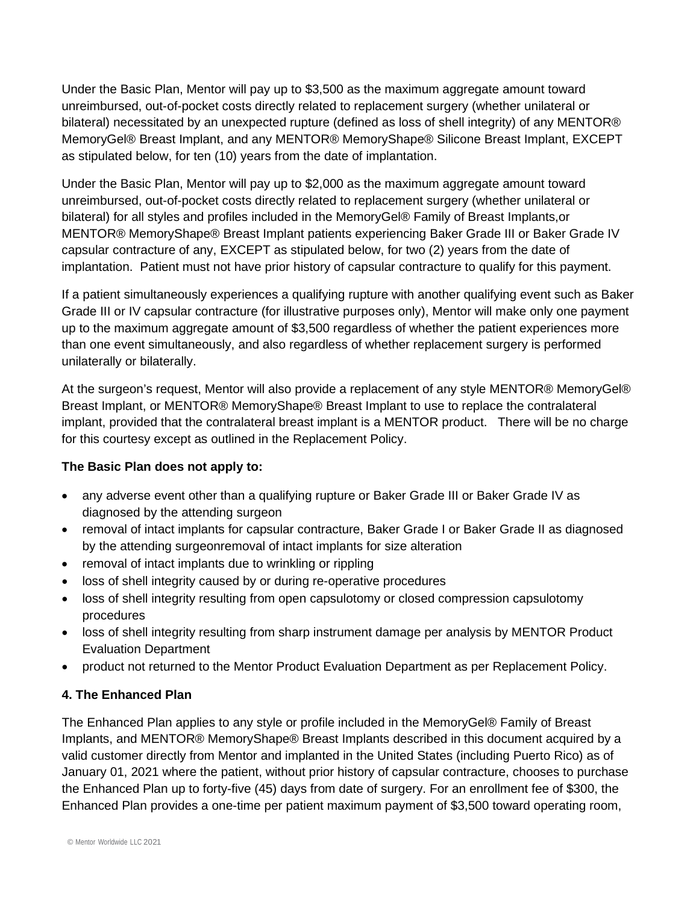Under the Basic Plan, Mentor will pay up to \$3,500 as the maximum aggregate amount toward unreimbursed, out-of-pocket costs directly related to replacement surgery (whether unilateral or bilateral) necessitated by an unexpected rupture (defined as loss of shell integrity) of any MENTOR® MemoryGel® Breast Implant, and any MENTOR® MemoryShape® Silicone Breast Implant, EXCEPT as stipulated below, for ten (10) years from the date of implantation.

Under the Basic Plan, Mentor will pay up to \$2,000 as the maximum aggregate amount toward unreimbursed, out-of-pocket costs directly related to replacement surgery (whether unilateral or bilateral) for all styles and profiles included in the MemoryGel® Family of Breast Implants,or MENTOR® MemoryShape® Breast Implant patients experiencing Baker Grade III or Baker Grade IV capsular contracture of any, EXCEPT as stipulated below, for two (2) years from the date of implantation. Patient must not have prior history of capsular contracture to qualify for this payment.

If a patient simultaneously experiences a qualifying rupture with another qualifying event such as Baker Grade III or IV capsular contracture (for illustrative purposes only), Mentor will make only one payment up to the maximum aggregate amount of \$3,500 regardless of whether the patient experiences more than one event simultaneously, and also regardless of whether replacement surgery is performed unilaterally or bilaterally.

At the surgeon's request, Mentor will also provide a replacement of any style MENTOR® MemoryGel® Breast Implant, or MENTOR® MemoryShape® Breast Implant to use to replace the contralateral implant, provided that the contralateral breast implant is a MENTOR product. There will be no charge for this courtesy except as outlined in the Replacement Policy.

## **The Basic Plan does not apply to:**

- any adverse event other than a qualifying rupture or Baker Grade III or Baker Grade IV as diagnosed by the attending surgeon
- removal of intact implants for capsular contracture, Baker Grade I or Baker Grade II as diagnosed by the attending surgeonremoval of intact implants for size alteration
- removal of intact implants due to wrinkling or rippling
- loss of shell integrity caused by or during re-operative procedures
- loss of shell integrity resulting from open capsulotomy or closed compression capsulotomy procedures
- loss of shell integrity resulting from sharp instrument damage per analysis by MENTOR Product Evaluation Department
- product not returned to the Mentor Product Evaluation Department as per Replacement Policy.

## **4. The Enhanced Plan**

The Enhanced Plan applies to any style or profile included in the MemoryGel® Family of Breast Implants, and MENTOR® MemoryShape® Breast Implants described in this document acquired by a valid customer directly from Mentor and implanted in the United States (including Puerto Rico) as of January 01, 2021 where the patient, without prior history of capsular contracture, chooses to purchase the Enhanced Plan up to forty-five (45) days from date of surgery. For an enrollment fee of \$300, the Enhanced Plan provides a one-time per patient maximum payment of \$3,500 toward operating room,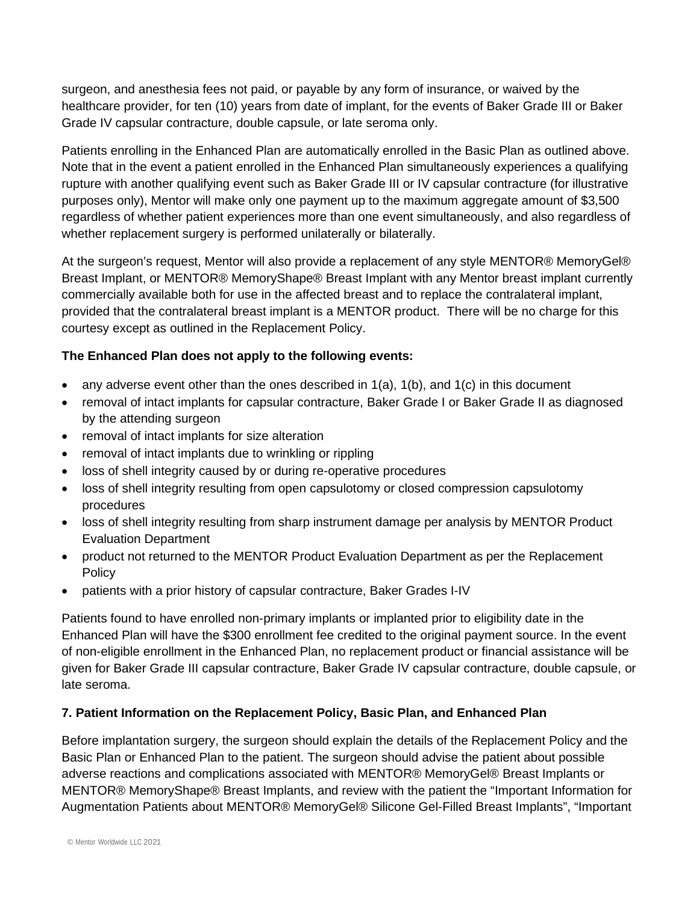surgeon, and anesthesia fees not paid, or payable by any form of insurance, or waived by the healthcare provider, for ten (10) years from date of implant, for the events of Baker Grade III or Baker Grade IV capsular contracture, double capsule, or late seroma only.

Patients enrolling in the Enhanced Plan are automatically enrolled in the Basic Plan as outlined above. Note that in the event a patient enrolled in the Enhanced Plan simultaneously experiences a qualifying rupture with another qualifying event such as Baker Grade III or IV capsular contracture (for illustrative purposes only), Mentor will make only one payment up to the maximum aggregate amount of \$3,500 regardless of whether patient experiences more than one event simultaneously, and also regardless of whether replacement surgery is performed unilaterally or bilaterally.

At the surgeon's request, Mentor will also provide a replacement of any style MENTOR® MemoryGel® Breast Implant, or MENTOR® MemoryShape® Breast Implant with any Mentor breast implant currently commercially available both for use in the affected breast and to replace the contralateral implant, provided that the contralateral breast implant is a MENTOR product. There will be no charge for this courtesy except as outlined in the Replacement Policy.

#### **The Enhanced Plan does not apply to the following events:**

- any adverse event other than the ones described in  $1(a)$ ,  $1(b)$ , and  $1(c)$  in this document
- removal of intact implants for capsular contracture, Baker Grade I or Baker Grade II as diagnosed by the attending surgeon
- removal of intact implants for size alteration
- removal of intact implants due to wrinkling or rippling
- loss of shell integrity caused by or during re-operative procedures
- loss of shell integrity resulting from open capsulotomy or closed compression capsulotomy procedures
- loss of shell integrity resulting from sharp instrument damage per analysis by MENTOR Product Evaluation Department
- product not returned to the MENTOR Product Evaluation Department as per the Replacement **Policy**
- patients with a prior history of capsular contracture, Baker Grades I-IV

Patients found to have enrolled non-primary implants or implanted prior to eligibility date in the Enhanced Plan will have the \$300 enrollment fee credited to the original payment source. In the event of non-eligible enrollment in the Enhanced Plan, no replacement product or financial assistance will be given for Baker Grade III capsular contracture, Baker Grade IV capsular contracture, double capsule, or late seroma.

## **7. Patient Information on the Replacement Policy, Basic Plan, and Enhanced Plan**

Before implantation surgery, the surgeon should explain the details of the Replacement Policy and the Basic Plan or Enhanced Plan to the patient. The surgeon should advise the patient about possible adverse reactions and complications associated with MENTOR® MemoryGel® Breast Implants or MENTOR® MemoryShape® Breast Implants, and review with the patient the "Important Information for Augmentation Patients about MENTOR® MemoryGel® Silicone Gel-Filled Breast Implants", "Important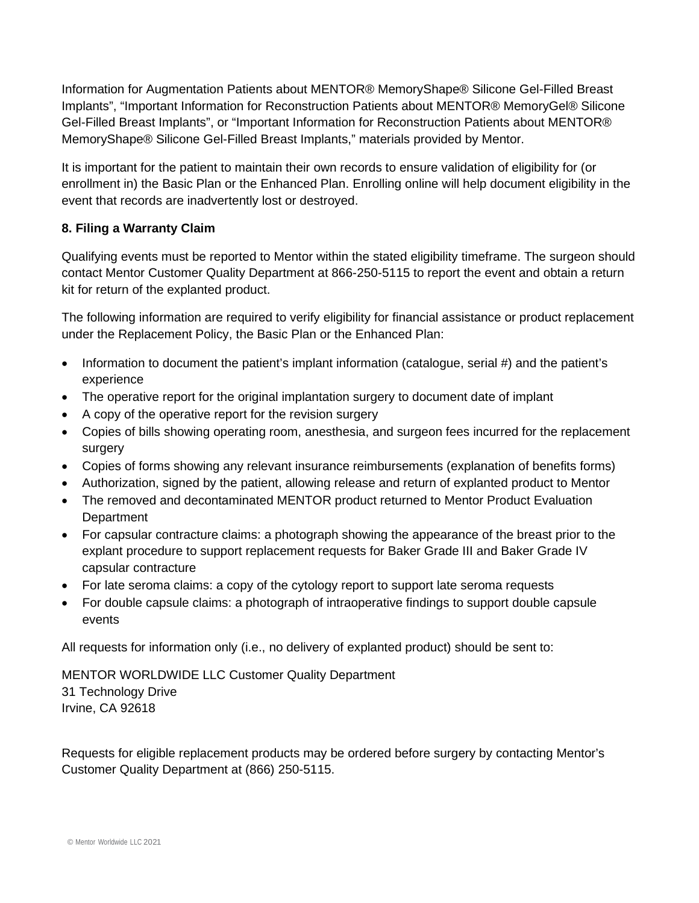Information for Augmentation Patients about MENTOR® MemoryShape® Silicone Gel-Filled Breast Implants", "Important Information for Reconstruction Patients about MENTOR® MemoryGel® Silicone Gel-Filled Breast Implants", or "Important Information for Reconstruction Patients about MENTOR® MemoryShape® Silicone Gel-Filled Breast Implants," materials provided by Mentor.

It is important for the patient to maintain their own records to ensure validation of eligibility for (or enrollment in) the Basic Plan or the Enhanced Plan. Enrolling online will help document eligibility in the event that records are inadvertently lost or destroyed.

#### **8. Filing a Warranty Claim**

Qualifying events must be reported to Mentor within the stated eligibility timeframe. The surgeon should contact Mentor Customer Quality Department at 866-250-5115 to report the event and obtain a return kit for return of the explanted product.

The following information are required to verify eligibility for financial assistance or product replacement under the Replacement Policy, the Basic Plan or the Enhanced Plan:

- Information to document the patient's implant information (catalogue, serial #) and the patient's experience
- The operative report for the original implantation surgery to document date of implant
- A copy of the operative report for the revision surgery
- Copies of bills showing operating room, anesthesia, and surgeon fees incurred for the replacement surgery
- Copies of forms showing any relevant insurance reimbursements (explanation of benefits forms)
- Authorization, signed by the patient, allowing release and return of explanted product to Mentor
- The removed and decontaminated MENTOR product returned to Mentor Product Evaluation **Department**
- For capsular contracture claims: a photograph showing the appearance of the breast prior to the explant procedure to support replacement requests for Baker Grade III and Baker Grade IV capsular contracture
- For late seroma claims: a copy of the cytology report to support late seroma requests
- For double capsule claims: a photograph of intraoperative findings to support double capsule events

All requests for information only (i.e., no delivery of explanted product) should be sent to:

MENTOR WORLDWIDE LLC Customer Quality Department 31 Technology Drive Irvine, CA 92618

Requests for eligible replacement products may be ordered before surgery by contacting Mentor's Customer Quality Department at (866) 250-5115.